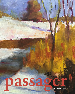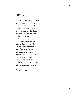# **ERMINE**

The weasels have slept – slept! – in the woodshed, neck to nose with the owls and the chickens, and somehow no one was hurt when we opened the doors this morning, masked up and ready for another day at the tool and die shop. The chickens demanded more coffee than usual but otherwise didn't seem out of sorts. The owls just piled in the back, sat with their usual glowers, got ready to bully everyone else into productivity and strike off one more day till they get their pensions.

*Robert Beveridge*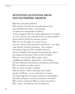# **SEVENTEEN QUESTIONS FROM THE SILVERWARE DRAWER**

Why fleet and pride and labor? Why words to describe the rare gatherings of mud hens and lions and moles – and nothing to capture the commonplace mayhem of this menagerie? Why the violent affirmation of a murder of crows, and not, say, a murder of the two dozen bamboo skewers left over from last summer's picnic? Why the civic formality of a colony of ants, and not a colony of the numerous small towns – tea, table, soup, slotted, wooden, measuring – that comprise this nation of spoons? Why a kindle of kittens, and not a kindle of the mismatched spatulas that clutter the confines of this space? Why no litter of ladles? Why no covey of corks? Why a pod, a pack, a paddling of dolphins, dogs, ducks – and nothing for these skimmers and strainers and drainers and scoops? Why no clowder of cookie cutters? Why no watch of whips or whisks? Why do coyotes, chicks, and sheep merit bands, broods, and flocks – yet no word exists to contain this sharp-edged zoo of scissors and slicers and shredders and sifters and graters and ricers and dicers and forks? Why no brace of beaters? Why no muster of mashers? Why a quiver of cobras but not of corkscrews;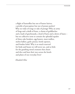a flight of butterflies but not of butter knives; a prickle of porcupines but not of potato peelers? Why no wake of tongs or rake of prongs? Why an army of frogs and a skulk of foxes, a charm of goldfinches and a leash of greyhounds, a herd of harts and a down of hares – but no collective term to contain the splendid squalor of these cake breakers, egg beaters, meat mallets, melon ballers, garlic presses, bottle openers, and fondue forks? Why is so much reserved for birds and beasts we will never see, and so little for the gnashing metal creatures that churn and slice and beat their way across the bowls and plates of our everyday lives?

*Elizabeth Klise*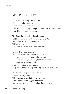# **MANAYUNK ALLEYS**

Those ash-tiled, single-file hallways Connect, lead to, wrap around Structures more important – Like commas laboring through the words of *War and Peace –* Our childhood thoroughfares.

We claimed them, called them by name: Old Lady Lewis, Beer Bottle, Misty Twisty Way. We played Truth and Dare in them, Whispered dirty jokes, Sang Beatles' songs, kissed and smoked.

Lost in their sunlit confines, We discovered secrets in their shadows: Cool slate dreamed by sun-broiled streets, The short cut to Iggy's Woods, the long way home. Upside-down gardens of icicles, Milkweed's sting on bare ankles, Purple stars with white eyes making sky of patched stone.

We stuffed heart-pounding darkness Deep into our pockets With the musty smell of mill-town mist, And heard the three-legged dog's bark Race across the echoes of elsewhere-bound trains.

*Mary T. Murphy*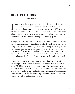#### **HER LEFT EYEBROW**  *Jayne Brown*

I<sub>whe</sub> t raises, it cocks. It praises, or mocks. I learned early to watch that eyebrow, the way I learned to read the weather of a room. It might signal encouragement, or warn me to back off. It told me whether she wanted Irish Spaghetti or Spanish Rice Quickie for supper, whether she thought my new poem was nice, whether to dress my little brother in blue onesies or the yellow giraffe pajamas.

The eyebrow was the last of her to go. Eyes closed, mouth slack, she moved between labored breathing and finally drifting mostly on a morphine float. But when my sister asked, "Are you hearing all the nice things we're saying about you?" up went the eyebrow, pleased. When one of the men she fondly called The Gay Dads visited from church, she managed smiles we hadn't roused for days. "What are *we*," my brother asked. "Chopped liver?" Up it cocked, a well-timed laugh.

It was how she answered "yes" to sips of apple juice, a sponge of water on her lips. When I tried to feed rice pudding from a spoon and said, "My kids have told me I'm terrible at this," the eyebrow rose in arch agreement. Her eyes popped open for a moment once, and the eyebrow frowned and furrowed to find she wasn't done. "I have to get this over with to make the movie stop," she said. When the eyebrow finally was still, it told me she was gone.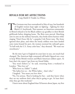# **RIVALS FOR MY AFFECTIONS**

 *Craig Hukill & Freddie Lee Wilson*

The Germans may have surrendered in May of 1945, but hundreds<br>of English women kept right on fighting – fighting for their<br>Black G.I. boyfriends. That summer, an American commander<br>in Bristol refused to let his Black soldi of English women kept right on fighting – fighting for their Black G.I. boyfriends. That summer, an American commander in Bristol refused to let his Black soldiers say goodbye to their British girlfriends before shipping home. The Brits were peeved. Marching arm-in-arm on the military barracks, they broke down barriers while singing "Don't Fence Me In," a popular Cole Porter tune. The Army ignored their pleas, and when the lonely soldiers were later herded onto trains bound for port, the women stormed the railroad's gates. "To hell with the U.S. Army color bars," they shouted. "We want our sweethearts."

By the time I got to England six years later in 1951, not much had changed. The American high command still hadn't figured out a way to keep White British women and Black American soldiers apart. At least that's the report I got from my friend Eddie.

"You won't believe it," he said, returning from a weekend in London. "They love us!"

"Who loves us, Eddie?" I asked.

"The ladies love us – the White ladies – that's who."

I laughed. "You mean you love *them.*"

"No, I'm serious. They're looking for fun – and they know when they see my uniform that's what they're going to get. At least that's what they got this weekend."

I knew more about England than I'd known about Japan, my first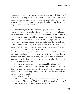overseas stop, but White women wanting to have fun with Black men? That was something I hadn't heard before. The more I considered Eddie's words, though, the more I was intrigued. The only problem was that I'd lost all my money playing cards and shooting dice on the ship. I'd have to wait for payday.

When the big day finally came and my wallet was full, Eddie and I caught a bus and a train to Paddington Station. The trip into London was almost more than I could take in. The train was clean – "tidy" as the English say – and we could sit wherever we wanted. The conductor who sold tickets, the porter who helped with luggage, the guard who made sure everything onboard was just right, and the stewards who served meals in the dining car, were all White. Not a Black face in the bunch. And they were courteous – every single one of them. "Mornin', guv," one said to me as I climbed aboard.

Out the windows, green fields and bushes sprouted everywhere, with grass so abundant that people used it for their roofs. Just as strange were the cars with steering wheels on the passenger side stopped in the left lanes at train crossings. As I gawked, Eddie filled me in on how things worked.

"I know what you're thinking," he said, talking about the girls we hoped to meet. "They aren't streetwalkers, they're working class girls. They're sweet. They don't have much money, but they work hard all week and want something to look forward to on the weekend. Yes, sir, they love us to death."

"But why us?" I asked.

"Why not us? When they see Freddie Wilson walk through the door, that's what they'll see – not *Black* Freddie Wilson. It's class, not color."

I was suspicious. "How do you know all this?" . . .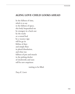### **AGING LOVE-CHILD LOOKS AHEAD**

In the fullness of time, which is to say in the fullness of space, this body bequeathed me by strangers in a back seat by the tracks or a rented bed by a vacancy sign will let go its lifeline of days and simply float in placid dissolution, and what was fullness of pen and muscle in the pulsing docket of clockworks and suns will be new emptiness

waiting to be filled.

*Tracy K. Lewis*